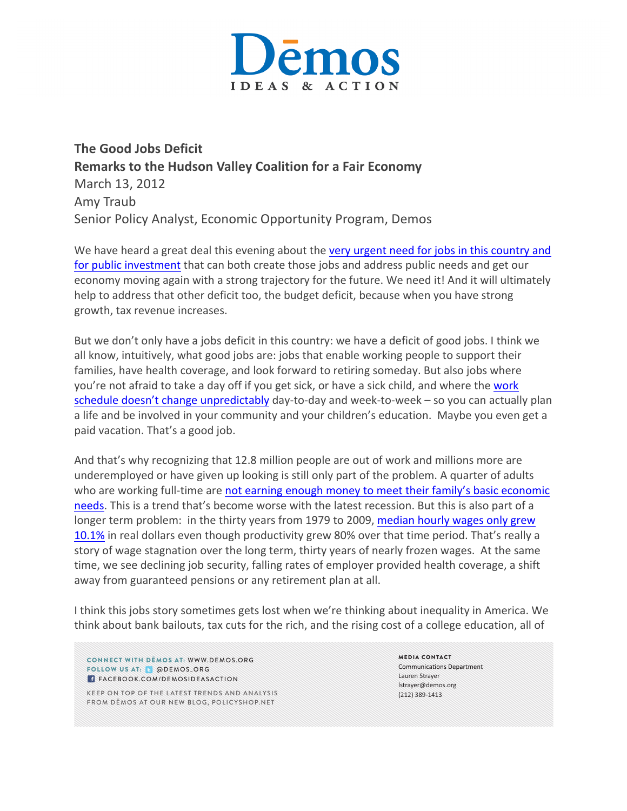

**The Good Jobs Deficit Remarks to the Hudson Valley Coalition for a Fair Economy** March 13, 2012 Amy Traub Senior Policy Analyst, Economic Opportunity Program, Demos

We have heard a great deal this evening about the very urgent need for jobs in this country and for public investment that can both create those jobs and address public needs and get our economy moving again with a strong trajectory for the future. We need it! And it will ultimately help to address that other deficit too, the budget deficit, because when you have strong growth, tax revenue increases.

But we don't only have a jobs deficit in this country: we have a deficit of good jobs. I think we all know, intuitively, what good jobs are: jobs that enable working people to support their families, have health coverage, and look forward to retiring someday. But also jobs where you're not afraid to take a day off if you get sick, or have a sick child, and where the work schedule doesn't change unpredictably day-to-day and week-to-week – so you can actually plan a life and be involved in your community and your children's education. Maybe you even get a paid vacation. That's a good job.

And that's why recognizing that 12.8 million people are out of work and millions more are underemployed or have given up looking is still only part of the problem. A quarter of adults who are working full-time are not earning enough money to meet their family's basic economic needs. This is a trend that's become worse with the latest recession. But this is also part of a longer term problem: in the thirty years from 1979 to 2009, median hourly wages only grew 10.1% in real dollars even though productivity grew 80% over that time period. That's really a story of wage stagnation over the long term, thirty years of nearly frozen wages. At the same time, we see declining job security, falling rates of employer provided health coverage, a shift away from guaranteed pensions or any retirement plan at all.

I think this jobs story sometimes gets lost when we're thinking about inequality in America. We think about bank bailouts, tax cuts for the rich, and the rising cost of a college education, all of

CONNECT WITH DĒMOS AT: WWW.DEMOS.ORG FOLLOW US AT: @ @DEMOS\_ORG **FACEBOOK.COM/DEMOSIDEASACTION** 

KEEP ON TOP OF THE LATEST TRENDS AND ANALYSIS FROM DĒMOS AT OUR NEW BLOG, POLICYSHOP.NET

MEDIA CONTACT **Communications Department** Lauren Strayer lstrayer@demos.org (212) 389-1413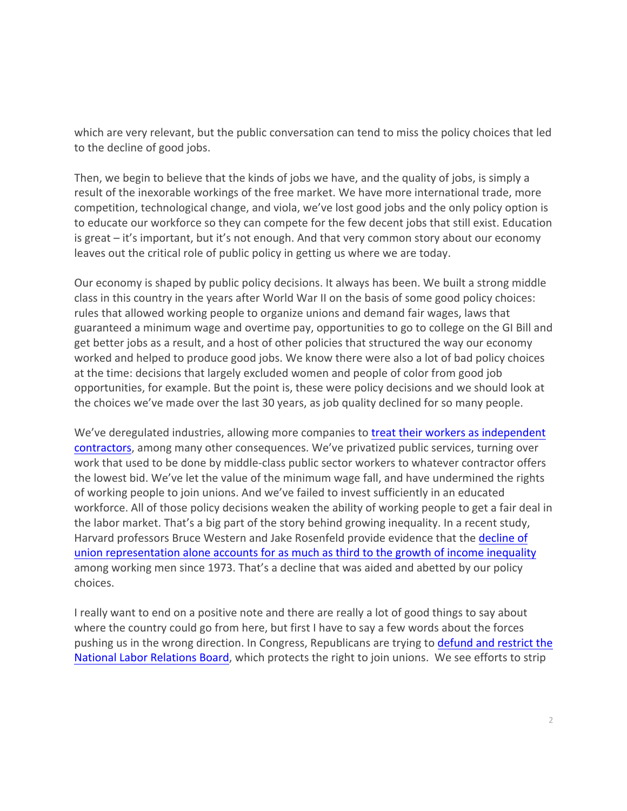which are very relevant, but the public conversation can tend to miss the policy choices that led to the decline of good jobs.

Then, we begin to believe that the kinds of jobs we have, and the quality of jobs, is simply a result of the inexorable workings of the free market. We have more international trade, more competition, technological change, and viola, we've lost good jobs and the only policy option is to educate our workforce so they can compete for the few decent jobs that still exist. Education is great – it's important, but it's not enough. And that very common story about our economy leaves out the critical role of public policy in getting us where we are today.

Our economy is shaped by public policy decisions. It always has been. We built a strong middle class in this country in the years after World War II on the basis of some good policy choices: rules that allowed working people to organize unions and demand fair wages, laws that guaranteed a minimum wage and overtime pay, opportunities to go to college on the GI Bill and get better jobs as a result, and a host of other policies that structured the way our economy worked and helped to produce good jobs. We know there were also a lot of bad policy choices at the time: decisions that largely excluded women and people of color from good job opportunities, for example. But the point is, these were policy decisions and we should look at the choices we've made over the last 30 years, as job quality declined for so many people.

We've deregulated industries, allowing more companies to treat their workers as independent contractors, among many other consequences. We've privatized public services, turning over work that used to be done by middle-class public sector workers to whatever contractor offers the lowest bid. We've let the value of the minimum wage fall, and have undermined the rights of working people to join unions. And we've failed to invest sufficiently in an educated workforce. All of those policy decisions weaken the ability of working people to get a fair deal in the labor market. That's a big part of the story behind growing inequality. In a recent study, Harvard professors Bruce Western and Jake Rosenfeld provide evidence that the decline of union representation alone accounts for as much as third to the growth of income inequality among working men since 1973. That's a decline that was aided and abetted by our policy choices. 

I really want to end on a positive note and there are really a lot of good things to say about where the country could go from here, but first I have to say a few words about the forces pushing us in the wrong direction. In Congress, Republicans are trying to defund and restrict the National Labor Relations Board, which protects the right to join unions. We see efforts to strip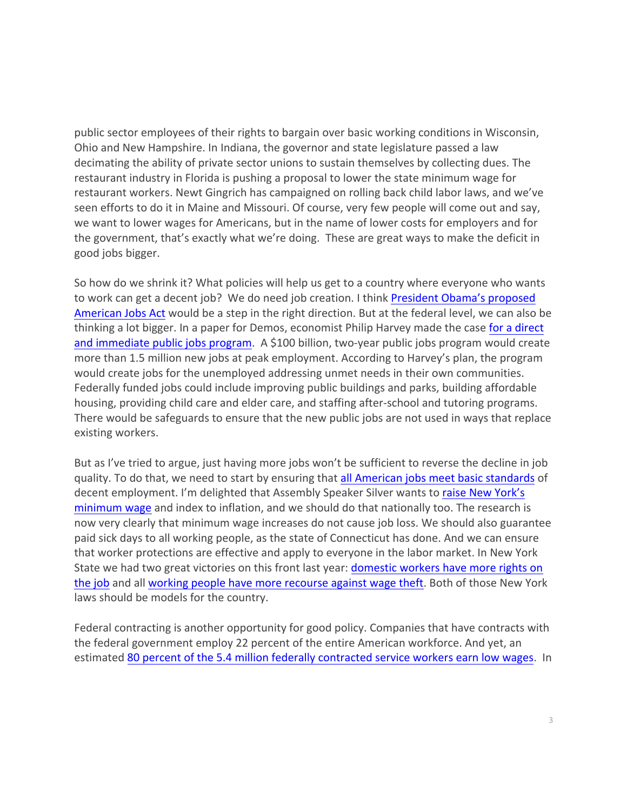public sector employees of their rights to bargain over basic working conditions in Wisconsin, Ohio and New Hampshire. In Indiana, the governor and state legislature passed a law decimating the ability of private sector unions to sustain themselves by collecting dues. The restaurant industry in Florida is pushing a proposal to lower the state minimum wage for restaurant workers. Newt Gingrich has campaigned on rolling back child labor laws, and we've seen efforts to do it in Maine and Missouri. Of course, very few people will come out and say, we want to lower wages for Americans, but in the name of lower costs for employers and for the government, that's exactly what we're doing. These are great ways to make the deficit in good jobs bigger.

So how do we shrink it? What policies will help us get to a country where everyone who wants to work can get a decent job? We do need job creation. I think President Obama's proposed American Jobs Act would be a step in the right direction. But at the federal level, we can also be thinking a lot bigger. In a paper for Demos, economist Philip Harvey made the case for a direct and immediate public jobs program. A \$100 billion, two-year public jobs program would create more than 1.5 million new jobs at peak employment. According to Harvey's plan, the program would create jobs for the unemployed addressing unmet needs in their own communities. Federally funded jobs could include improving public buildings and parks, building affordable housing, providing child care and elder care, and staffing after-school and tutoring programs. There would be safeguards to ensure that the new public jobs are not used in ways that replace existing workers.

But as I've tried to argue, just having more jobs won't be sufficient to reverse the decline in job quality. To do that, we need to start by ensuring that all American jobs meet basic standards of decent employment. I'm delighted that Assembly Speaker Silver wants to raise New York's minimum wage and index to inflation, and we should do that nationally too. The research is now very clearly that minimum wage increases do not cause job loss. We should also guarantee paid sick days to all working people, as the state of Connecticut has done. And we can ensure that worker protections are effective and apply to everyone in the labor market. In New York State we had two great victories on this front last year: domestic workers have more rights on the job and all working people have more recourse against wage theft. Both of those New York laws should be models for the country.

Federal contracting is another opportunity for good policy. Companies that have contracts with the federal government employ 22 percent of the entire American workforce. And yet, an estimated 80 percent of the 5.4 million federally contracted service workers earn low wages. In